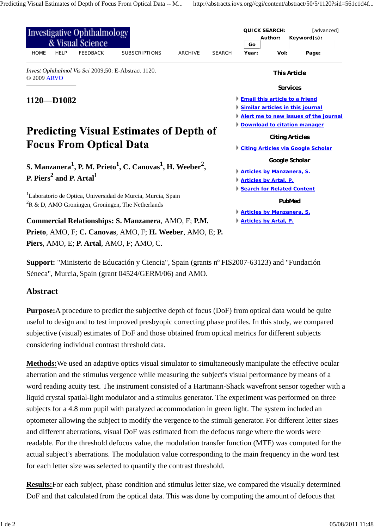| <b>Investigative Ophthalmology</b><br>& Visual Science                                                                                                        | <b>QUICK SEARCH:</b><br>[advanced]<br>Author:<br>Keyword(s):<br>Go |
|---------------------------------------------------------------------------------------------------------------------------------------------------------------|--------------------------------------------------------------------|
| <b>FEEDBACK</b><br><b>SUBSCRIPTIONS</b><br>ARCHIVE<br><b>HOME</b><br><b>HELP</b><br><b>SEARCH</b>                                                             | Year:<br>Vol:<br>Page:                                             |
| Invest Ophthalmol Vis Sci 2009;50: E-Abstract 1120.<br>© 2009 ARVO<br>$1120 - D1082$<br><b>Predicting Visual Estimates of Depth of</b>                        | <b>This Article</b>                                                |
|                                                                                                                                                               | <b>Services</b>                                                    |
|                                                                                                                                                               | <b>Email this article to a friend</b>                              |
|                                                                                                                                                               | Similar articles in this journal                                   |
|                                                                                                                                                               | Alert me to new issues of the journal                              |
|                                                                                                                                                               | Download to citation manager                                       |
|                                                                                                                                                               | <b>Citing Articles</b>                                             |
| <b>Focus From Optical Data</b>                                                                                                                                | Citing Articles via Google Scholar                                 |
| S. Manzanera <sup>1</sup> , P. M. Prieto <sup>1</sup> , C. Canovas <sup>1</sup> , H. Weeber <sup>2</sup> ,<br>P. Piers <sup>2</sup> and P. Artal <sup>1</sup> | Google Scholar                                                     |
|                                                                                                                                                               | <b>Articles by Manzanera, S.</b>                                   |
|                                                                                                                                                               | <b>Articles by Artal, P.</b>                                       |
|                                                                                                                                                               | Search for Related Content                                         |
| Laboratorio de Optica, Universidad de Murcia, Murcia, Spain<br>${}^{2}R \& D$ , AMO Groningen, Groningen, The Netherlands                                     | PubMed                                                             |
|                                                                                                                                                               | <b>Articles by Manzanera, S.</b>                                   |
| Commercial Relationships: S. Manzanera, AMO, F; P.M.                                                                                                          | <b>Articles by Artal, P.</b>                                       |
| Prieto, AMO, F; C. Canovas, AMO, F; H. Weeber, AMO, E; P.                                                                                                     |                                                                    |
| Piers, AMO, E; P. Artal, AMO, F; AMO, C.                                                                                                                      |                                                                    |

**Support:** "Ministerio de Educación y Ciencia", Spain (grants nº FIS2007-63123) and "Fundación Séneca", Murcia, Spain (grant 04524/GERM/06) and AMO.

## **Abstract**

**Purpose:**A procedure to predict the subjective depth of focus (DoF) from optical data would be quite useful to design and to test improved presbyopic correcting phase profiles. In this study, we compared subjective (visual) estimates of DoF and those obtained from optical metrics for different subjects considering individual contrast threshold data.

**Methods:**We used an adaptive optics visual simulator to simultaneously manipulate the effective ocular aberration and the stimulus vergence while measuring the subject's visual performance by means of a word reading acuity test. The instrument consisted of a Hartmann-Shack wavefront sensor together with a liquid crystal spatial-light modulator and a stimulus generator. The experiment was performed on three subjects for a 4.8 mm pupil with paralyzed accommodation in green light. The system included an optometer allowing the subject to modify the vergence to the stimuli generator. For different letter sizes and different aberrations, visual DoF was estimated from the defocus range where the words were readable. For the threshold defocus value, the modulation transfer function (MTF) was computed for the actual subject's aberrations. The modulation value corresponding to the main frequency in the word test for each letter size was selected to quantify the contrast threshold.

**Results:**For each subject, phase condition and stimulus letter size, we compared the visually determined DoF and that calculated from the optical data. This was done by computing the amount of defocus that